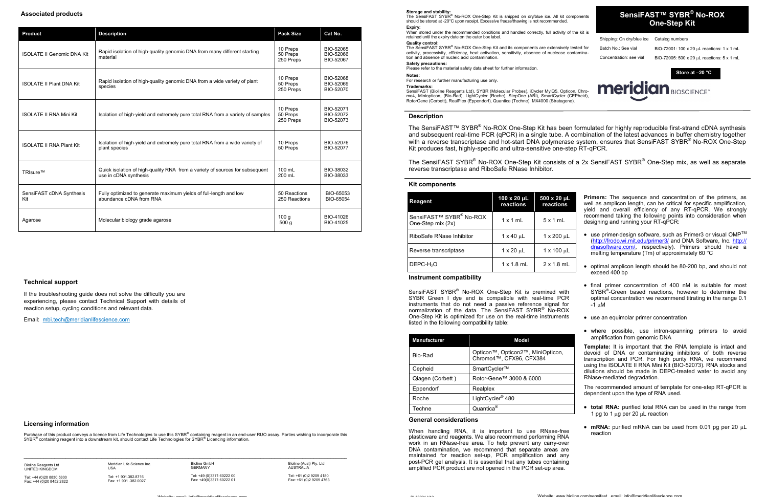# **SensiFAST™ SYBR ® No-ROX One-Step Kit**

Shipping: On dry/blue ice Catalog numbers

The SensiFAST SYBR<sup>®</sup> No-ROX One-Step Kit is shipped on dry/blue ice. All kit components should be stored at -20°C upon receipt. Excessive freeze/thawing is not recommended. **Expiry:**

#### **Storage and stability:**

When stored under the recommended conditions and handled correctly, full activity of the kit is retained until the expiry date on the outer box label.

Batch No.: See vial BIO-72001: 100 x 20  $\mu$ L reactions: 1 x 1 mL Concentration: see vial BIO-72005: 500 x 20  $\mu$ L reactions: 5 x 1 mL The SensiFAST SYBR® No-ROX One-Step Kit and its components are extensively tested for activity, processivity, efficiency, heat activation, sensitivity, absence of nuclease contamination and absence of nucleic acid contamination. **Safety precautions:** 

Please refer to the material safety data sheet for further information.

#### **Quality control:**

#### **Notes:**

For research or further manufacturing use only.

## **Trademarks:**

The SensiFAST SYBR® No-ROX One-Step Kit consists of a 2x SensiFAST SYBR® One-Step mix, as well as separate reverse transcriptase and RiboSafe RNase Inhibitor.

SensiFAST (Bioline Reagents Ltd), SYBR (Molecular Probes), iCycler MyiQ5, Opticon, Chromo4, Miniopticon, (Bio-Rad), LightCycler (Roche), StepOne (ABI), SmartCycler (CEPheid), RotorGene (Corbett), RealPlex (Eppendorf), Quantica (Techne), MX4000 (Stratagene).

### **Kit components**

**Store at –20 °C**



**meridian BIOSCIENCE** 

SensiFAST SYBR® No-ROX One-Step Kit is premixed with SYBR Green I dye and is compatible with real-time PCR instruments that do not need a passive reference signal for normalization of the data. The SensiFAST SYBR<sup>®</sup> No-ROX One-Step Kit is optimized for use on the real-time instruments listed in the following compatibility table:

- $\bullet~$  use primer-design software, such as Primer3 or visual OMP<sup>TM</sup> (<http://frodo.wi.mit.edu/primer3/> and DNA Software, Inc. [http://](http://dnasoftware.com/) [dnasoftware.com/,](http://dnasoftware.com/) respectively). Primers should have a melting temperature (Tm) of approximately 60 °C
- optimal amplicon length should be 80-200 bp, and should not exceed 400 bp
- final primer concentration of 400 nM is suitable for most SYBR<sup>®</sup>-Green based reactions, however to determine the optimal concentration we recommend titrating in the range 0.1  $-1$  uM
- use an equimolar primer concentration
- where possible, use intron-spanning primers to avoid amplification from genomic DNA

## **Description**

The SensiFAST™ SYBR® No-ROX One-Step Kit has been formulated for highly reproducible first-strand cDNA synthesis and subsequent real-time PCR (qPCR) in a single tube. A combination of the latest advances in buffer chemistry together with a reverse transcriptase and hot-start DNA polymerase system, ensures that SensiFAST SYBR® No-ROX One-Step Kit produces fast, highly-specific and ultra-sensitive one-step RT-qPCR.

#### **Instrument compatibility**

**Primers:** The sequence and concentration of the primers, as well as amplicon length, can be critical for specific amplification, yield and overall efficiency of any RT-qPCR. We strongly recommend taking the following points into consideration when designing and running your RT-qPCR:

Purchase of this product conveys a licence from Life Technologies to use this SYBR® containing reagent in an end-user RUO assay. Parties wishing to incorporate this SYBR**®** containing reagent into a downstream kit, should contact Life Technologies for SYBR**®** Licencing information.

 $\mathcal{L} = \{ \mathcal{L} = \{ \mathcal{L} = \{ \mathcal{L} = \{ \mathcal{L} = \{ \mathcal{L} = \{ \mathcal{L} = \{ \mathcal{L} = \{ \mathcal{L} = \{ \mathcal{L} = \{ \mathcal{L} = \{ \mathcal{L} = \{ \mathcal{L} = \{ \mathcal{L} = \{ \mathcal{L} = \{ \mathcal{L} = \{ \mathcal{L} = \{ \mathcal{L} = \{ \mathcal{L} = \{ \mathcal{L} = \{ \mathcal{L} = \{ \mathcal{L} = \{ \mathcal{L} = \{ \mathcal{L} = \{ \mathcal{$ 

**Template:** It is important that the RNA template is intact and devoid of DNA or contaminating inhibitors of both reverse transcription and PCR. For high purity RNA, we recommend using the ISOLATE II RNA Mini Kit (BIO-52073). RNA stocks and dilutions should be made in DEPC-treated water to avoid any RNase-mediated degradation.

The recommended amount of template for one-step RT-qPCR is dependent upon the type of RNA used.

- **total RNA:** purified total RNA can be used in the range from 1 pg to 1  $\mu$ g per 20  $\mu$ L reaction
- $mRNA$ : purified mRNA can be used from 0.01 pg per 20  $\mu$ L reaction

#### **General considerations**

 $P1 - 50021 1120$ 

When handling RNA, it is important to use RNase-free plasticware and reagents. We also recommend performing RNA work in an RNase-free area. To help prevent any carry-over DNA contamination, we recommend that separate areas are maintained for reaction set-up, PCR amplification and any post-PCR gel analysis. It is essential that any tubes containing amplified PCR product are not opened in the PCR set-up area.

| Reagent                                      | $100 \times 20 \mu L$<br>reactions | 500 x 20 µL<br>reactions |
|----------------------------------------------|------------------------------------|--------------------------|
| SensiFAST™ SYBR® No-ROX<br>One-Step mix (2x) | $1 \times 1$ mL                    | $5 \times 1$ mL          |
| RiboSafe RNase Inhibitor                     | $1 \times 40 \mu L$                | 1 x 200 uL               |
| Reverse transcriptase                        | $1 \times 20 \mu L$                | 1 x 100 uL               |
| DEPC-H <sub>2</sub> O                        | $1 \times 1.8$ mL                  | $2 \times 1.8$ mL        |

| <b>Manufacturer</b> | Model                                                        |
|---------------------|--------------------------------------------------------------|
| Bio-Rad             | Opticon™, Opticon2™, MiniOpticon,<br>Chromo4™. CFX96. CFX384 |
| Cepheid             | SmartCycler™                                                 |
| Qiagen (Corbett)    | Rotor-Gene™ 3000 & 6000                                      |
| Eppendorf           | Realplex                                                     |
| Roche               | LightCycler <sup>®</sup> 480                                 |
| Techne              | Quantica <sup>®</sup>                                        |

#### **Licensing information**

Website: email: info@meridianlifescience.com

## **Associated products**

### **Technical support**

If the troubleshooting guide does not solve the difficulty you are experiencing, please contact Technical Support with details of reaction setup, cycling conditions and relevant data.

Email: mbi[.tech@meridianlifescience.com](mailto:tech@bioline.com)

| <b>Product</b>                    | <b>Description</b>                                                                                    | <b>Pack Size</b>                  | Cat No.                             |
|-----------------------------------|-------------------------------------------------------------------------------------------------------|-----------------------------------|-------------------------------------|
| <b>ISOLATE II Genomic DNA Kit</b> | Rapid isolation of high-quality genomic DNA from many different starting<br>material                  | 10 Preps<br>50 Preps<br>250 Preps | BIO-52065<br>BIO-52066<br>BIO-52067 |
| <b>ISOLATE II Plant DNA Kit</b>   | Rapid isolation of high-quality genomic DNA from a wide variety of plant<br>species                   | 10 Preps<br>50 Preps<br>250 Preps | BIO-52068<br>BIO-52069<br>BIO-52070 |
| <b>ISOLATE II RNA Mini Kit</b>    | Isolation of high-yield and extremely pure total RNA from a variety of samples                        | 10 Preps<br>50 Preps<br>250 Preps | BIO-52071<br>BIO-52072<br>BIO-52073 |
| <b>ISOLATE II RNA Plant Kit</b>   | Isolation of high-yield and extremely pure total RNA from a wide variety of<br>plant species          | 10 Preps<br>50 Preps              | BIO-52076<br>BIO-52077              |
| TRIsure™                          | Quick isolation of high-quality RNA from a variety of sources for subsequent<br>use in cDNA synthesis | 100 mL<br>200 mL                  | BIO-38032<br>BIO-38033              |
| SensiFAST cDNA Synthesis<br>Kit   | Fully optimized to generate maximum yields of full-length and low<br>abundance cDNA from RNA          | 50 Reactions<br>250 Reactions     | BIO-65053<br>BIO-65054              |
| Agarose                           | Molecular biology grade agarose                                                                       | 100q<br>500 <sub>g</sub>          | BIO-41026<br>BIO-41025              |

Bioline Reagents Ltd UNITED KINGDOM

Tel: +44 (0)20 8830 5300 Fax: +44 (0)20 8452 2822

Meridian Life Science Inc.

Tel: +1 901.382.8716 Fax: +1 901 .382.0027

 $11S/$ 

Bioline GmbH GERMANY Tel: +49 (0)3371 60222 00 Fax: +49(0)3371 60222 01

Bioline (Aust) Pty. Ltd AUSTRALIA

Tel: +61 (0)2 9209 4180 Fax: +61 (0)2 9209 4763